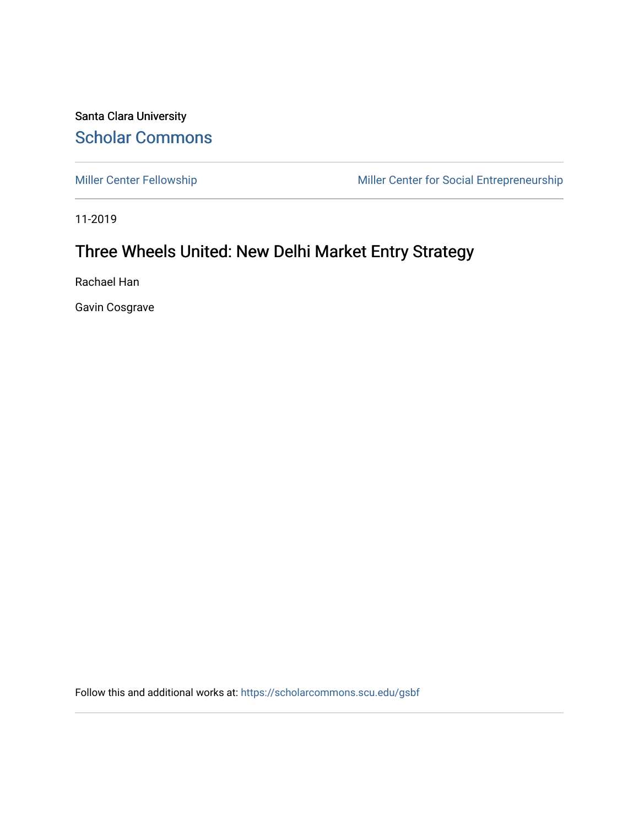Santa Clara University [Scholar Commons](https://scholarcommons.scu.edu/) 

[Miller Center Fellowship](https://scholarcommons.scu.edu/gsbf) Miller Center for Social Entrepreneurship

11-2019

## Three Wheels United: New Delhi Market Entry Strategy

Rachael Han

Gavin Cosgrave

Follow this and additional works at: [https://scholarcommons.scu.edu/gsbf](https://scholarcommons.scu.edu/gsbf?utm_source=scholarcommons.scu.edu%2Fgsbf%2F142&utm_medium=PDF&utm_campaign=PDFCoverPages)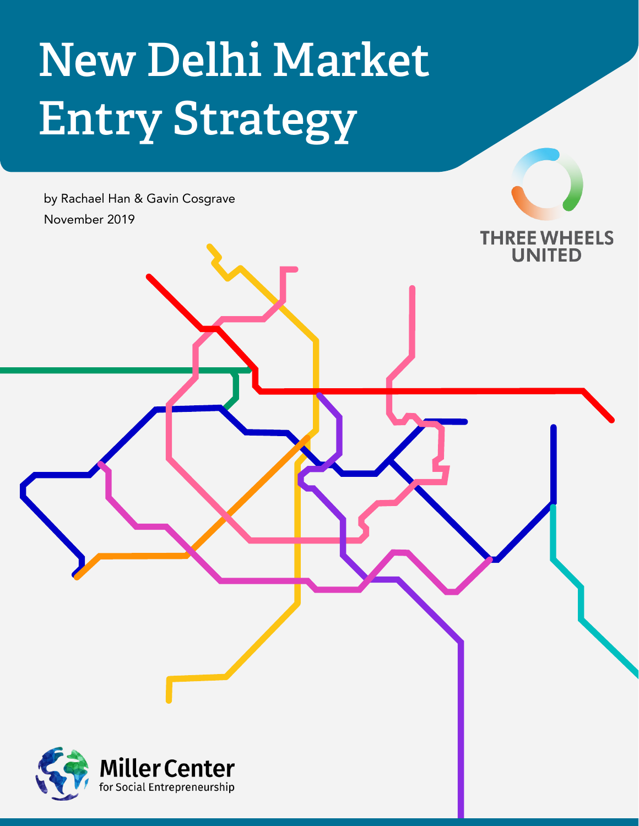## New Delhi Market Entry Strategy

by Rachael Han & Gavin Cosgrave November 2019